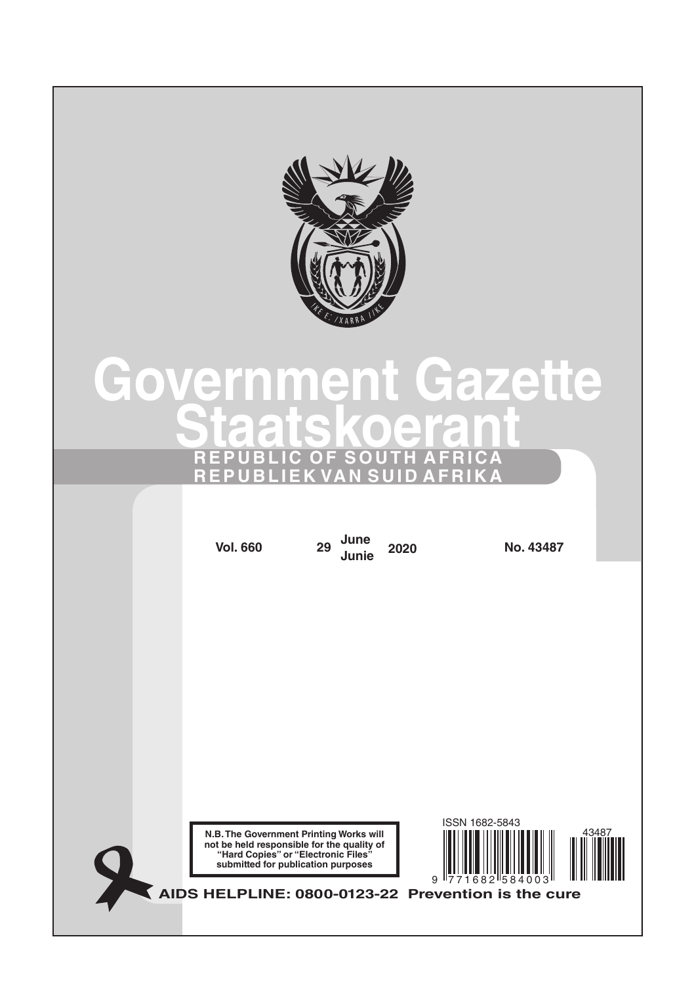

# **Government Gazette Staatskoerant REPUBLIC OF SOUTH AFRICA REPUBLIEK VAN SUID AFRIKA**

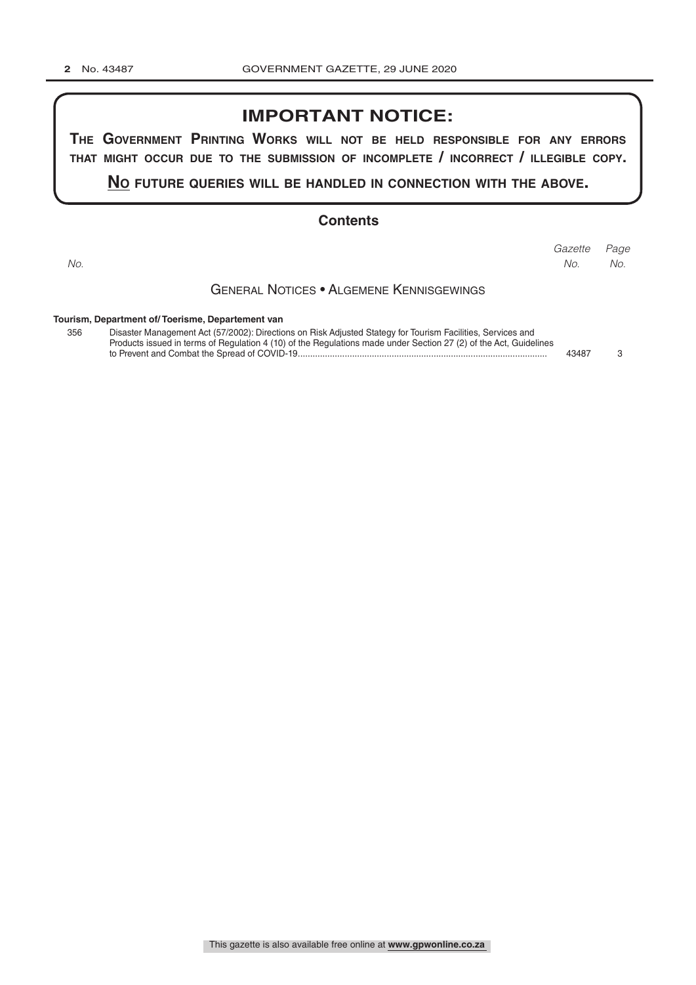# **IMPORTANT NOTICE:**

**The GovernmenT PrinTinG Works Will noT be held resPonsible for any errors ThaT miGhT occur due To The submission of incomPleTe / incorrecT / illeGible coPy.**

**no fuTure queries Will be handled in connecTion WiTh The above.**

#### **Contents**

General Notices • Algemene Kennisgewings **Tourism, Department of/ Toerisme, Departement van** *Page Gazette No. No. No.*

| 356 | Disaster Management Act (57/2002): Directions on Risk Adjusted Stategy for Tourism Facilities, Services and       |       |    |
|-----|-------------------------------------------------------------------------------------------------------------------|-------|----|
|     | Products issued in terms of Regulation 4 (10) of the Regulations made under Section 27 (2) of the Act, Guidelines |       |    |
|     |                                                                                                                   | 43487 | -3 |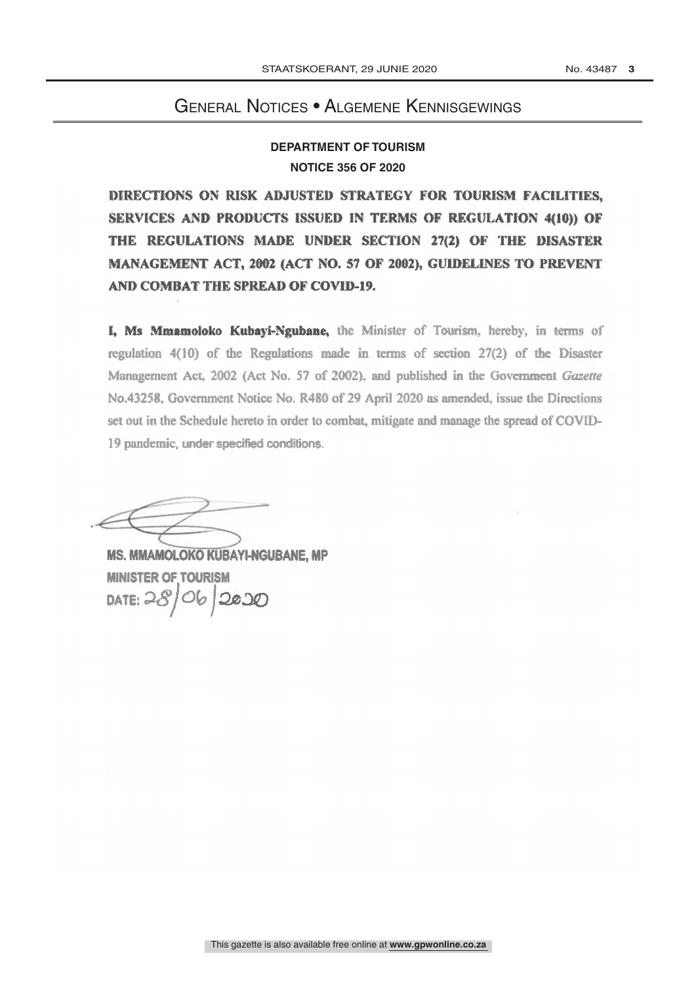# General Notices • Algemene Kennisgewings

# **DEPARTMENT OF TOURISM NOTICE 356 OF 2020**

DIRECTIONS ON RISK ADJUSTED STRATEGY FOR TOURISM FACILITIES, SERVICES AND PRODUCTS ISSUED IN TERMS OF REGULATION 4(I0)) OF THE REGULATIONS MADE UNDER SECTION 27(2) OF THE DISASTER MANAGEMENT ACT, 2002 (ACT NO. 57 OF 2002), GUIDELINES TO PREVENT AND COMBAT THE SPREAD OF COVID-19.

Ms Mmamoloko Kubayi-Ngubane, the Minister of Tourism, hereby, in terms of regulation 4(10) of the Regulations made in terms of section 27(2) of the Disaster Management Act, 2002 (Act No. 57 of 2002). and published in the Government Gazette No.43258, Government Notice No. R480 of 29 April 2020 as amended, issue the Directions set out in the Schedule hereto in order to combat, mitigate and manage the spread of COVID-19 pandemic, under specified conditions.

**MS. MMAMOLOKO KUBAYI-NGUBANE, MP** MINISTER OF TOURISM  $DATE: 2800$   $200$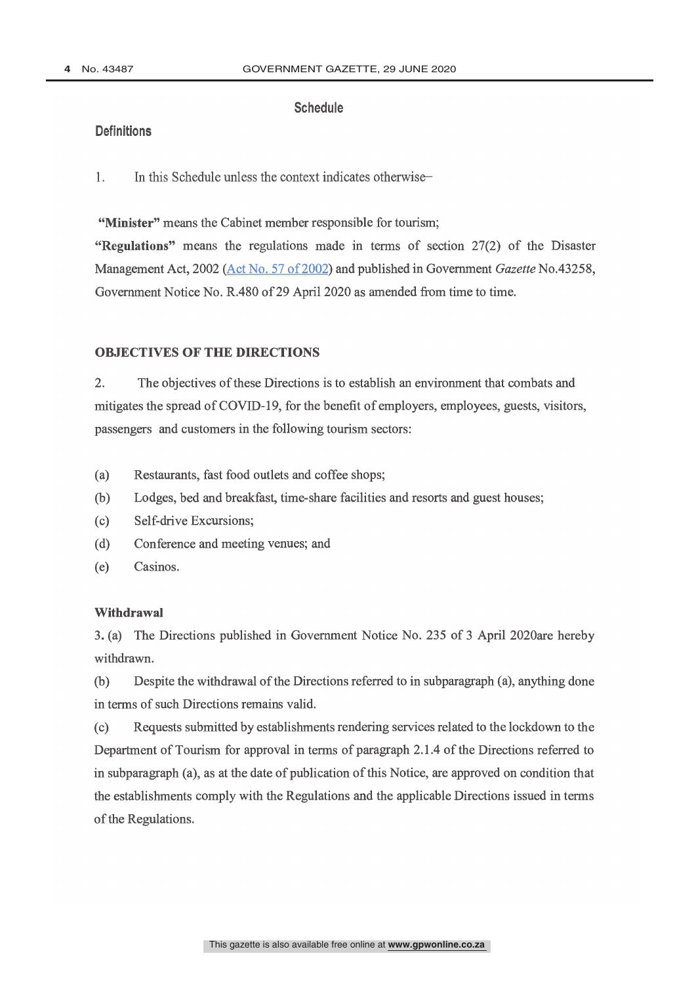# **Schedule**

# **Definitions**

 $\mathbf{1}$ . In this Schedule unless the context indicates otherwise-

"Minister" means the Cabinet member responsible for tourism;

"Regulations" means the regulations made in terms of section 27(2) of the Disaster Management Act, 2002 (Act No. 57 of 2002) and published in Government Gazette No.43258, Government Notice No. R.480 of 29 April 2020 as amended from time to time.

# OBJECTIVES OF THE DIRECTIONS

2. The objectives of these Directions is to establish an environment that combats and mitigates the spread of COVID -19, for the benefit of employers, employees, guests, visitors, passengers and customers in the following tourism sectors:

- (a) Restaurants, fast food outlets and coffee shops;
- (b) Lodges, bed and breakfast, time -share facilities and resorts and guest houses;
- (c) Self -drive Excursions;
- (d) Conference and meeting venues; and
- (e) Casinos.

# Withdrawal

3. (a) The Directions published in Government Notice No. 235 of 3 April 2020are hereby withdrawn.

(b) Despite the withdrawal of the Directions referred to in subparagraph (a), anything done in terms of such Directions remains valid.

(c) Requests submitted by establishments rendering services related to the lockdown to the Department of Tourism for approval in terms of paragraph 2.1.4 of the Directions referred to in subparagraph (a), as at the date of publication of this Notice, are approved on condition that the establishments comply with the Regulations and the applicable Directions issued in terms of the Regulations.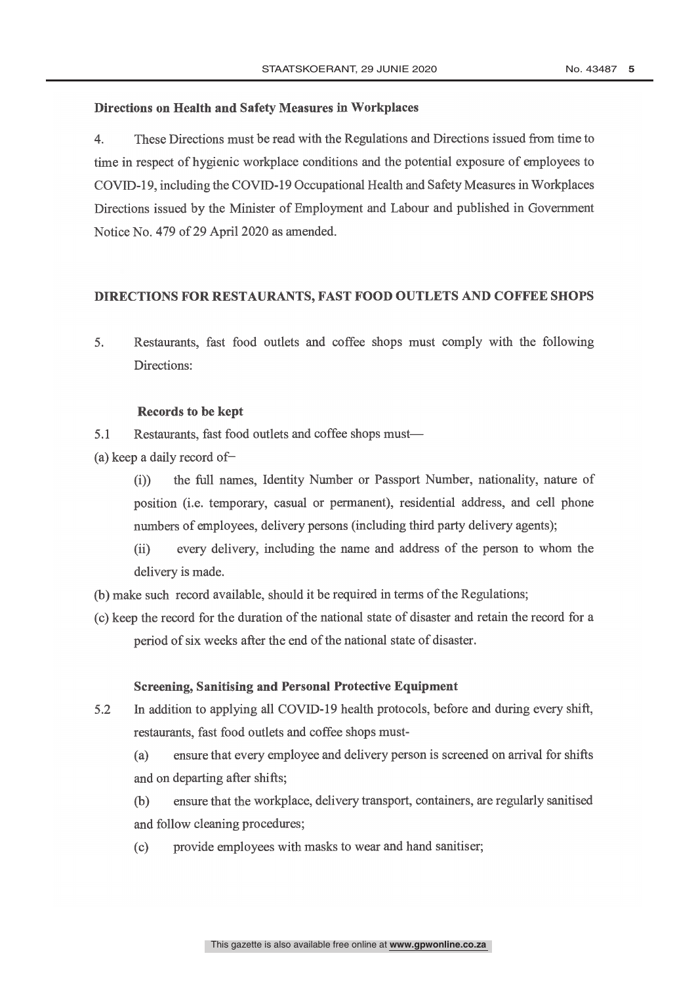# Directions on Health and Safety Measures in Workplaces

4. These Directions must be read with the Regulations and Directions issued from time to time in respect of hygienic workplace conditions and the potential exposure of employees to COVID -19, including the COVID-19 Occupational Health and Safety Measures in Workplaces Directions issued by the Minister of Employment and Labour and published in Government Notice No. 479 of 29 April 2020 as amended.

### DIRECTIONS FOR RESTAURANTS, FAST FOOD OUTLETS AND COFFEE SHOPS

5. Restaurants, fast food outlets and coffee shops must comply with the following Directions:

#### Records to be kept

- 5.1 Restaurants, fast food outlets and coffee shops must—
- (a) keep a daily record of

(i)) the full names, Identity Number or Passport Number, nationality, nature of position (i.e. temporary, casual or permanent), residential address, and cell phone numbers of employees, delivery persons (including third party delivery agents);

- (ii) every delivery, including the name and address of the person to whom the delivery is made.
- (b) make such record available, should it be required in terms of the Regulations;
- (c) keep the record for the duration of the national state of disaster and retain the record for a period of six weeks after the end of the national state of disaster.

#### Screening, Sanitising and Personal Protective Equipment

5.2 In addition to applying all COVID -19 health protocols, before and during every shift, restaurants, fast food outlets and coffee shops must-

(a) ensure that every employee and delivery person is screened on arrival for shifts and on departing after shifts;

(b) ensure that the workplace, delivery transport, containers, are regularly sanitised and follow cleaning procedures;

(c) provide employees with masks to wear and hand sanitiser;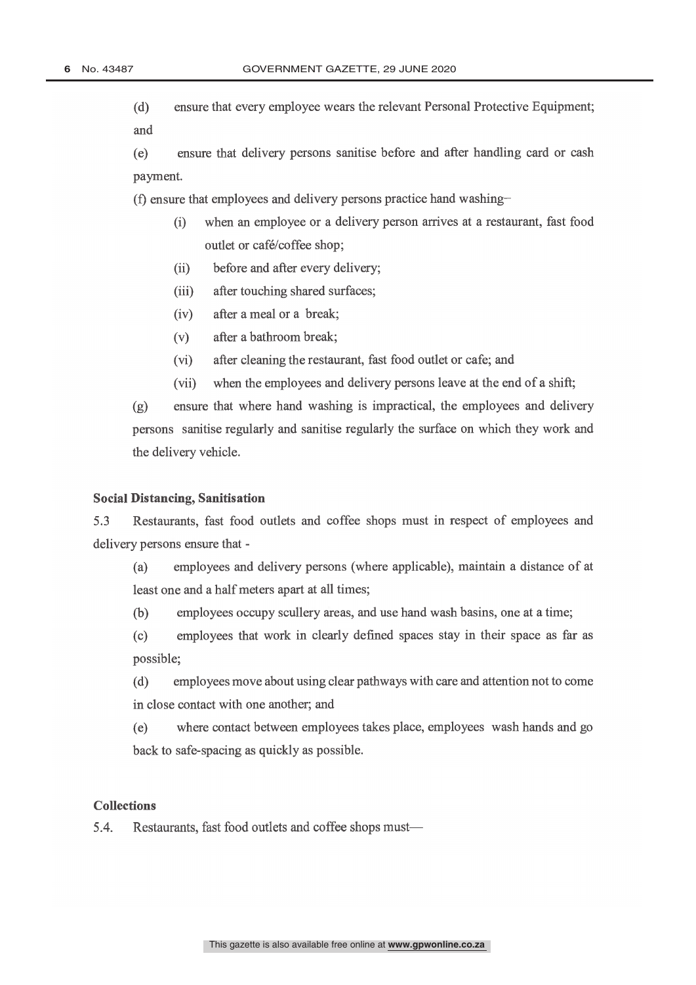(d) ensure that every employee wears the relevant Personal Protective Equipment; and

(e) ensure that delivery persons sanitise before and after handling card or cash payment.

(f) ensure that employees and delivery persons practice hand washing -

- (i) when an employee or a delivery person arrives at a restaurant, fast food outlet or café/coffee shop;
- (ii) before and after every delivery;
- (iii) after touching shared surfaces;
- (iv) after a meal or a break;
- (v) after a bathroom break;
- (vi) after cleaning the restaurant, fast food outlet or cafe; and
- (vii) when the employees and delivery persons leave at the end of a shift;

(g) ensure that where hand washing is impractical, the employees and delivery persons sanitise regularly and sanitise regularly the surface on which they work and the delivery vehicle.

#### Social Distancing, Sanitisation

5.3 Restaurants, fast food outlets and coffee shops must in respect of employees and delivery persons ensure that -

- (a) employees and delivery persons (where applicable), maintain a distance of at least one and a half meters apart at all times;
- (b) employees occupy scullery areas, and use hand wash basins, one at a time;

(c) employees that work in clearly defined spaces stay in their space as far as possible;

(d) employees move about using clear pathways with care and attention not to come in close contact with one another; and

(e) where contact between employees takes place, employees wash hands and go back to safe - spacing as quickly as possible.

# Collections

 $5.4.$ Restaurants, fast food outlets and coffee shops must-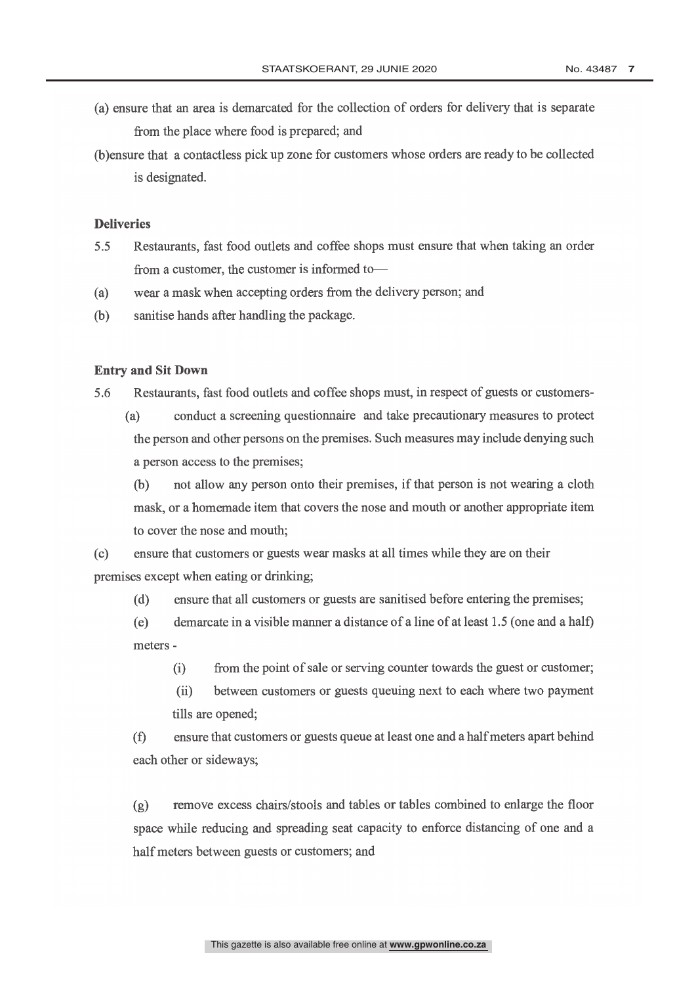- (a) ensure that an area is demarcated for the collection of orders for delivery that is separate from the place where food is prepared; and
- (b)ensure that a contactless pick up zone for customers whose orders are ready to be collected is designated.

# **Deliveries**

- 5.5 Restaurants, fast food outlets and coffee shops must ensure that when taking an order from a customer, the customer is informed to-
- (a) wear a mask when accepting orders from the delivery person; and
- (b) sanitise hands after handling the package.

#### Entry and Sit Down

- 5.6 Restaurants, fast food outlets and coffee shops must, in respect of guests or customers
	- (a) conduct a screening questionnaire and take precautionary measures to protect the person and other persons on the premises. Such measures may include denying such a person access to the premises;

(b) not allow any person onto their premises, if that person is not wearing a cloth mask, or a homemade item that covers the nose and mouth or another appropriate item to cover the nose and mouth;

(c) ensure that customers or guests wear masks at all times while they are on their premises except when eating or drinking;

- (d) ensure that all customers or guests are sanitised before entering the premises;
- (e) demarcate in a visible manner a distance of a line of at least 1.5 (one and a half) meters -
	- (i) from the point of sale or serving counter towards the guest or customer;
	- (ii) between customers or guests queuing next to each where two payment tills are opened;

(f) ensure that customers or guests queue at least one and a half meters apart behind each other or sideways;

(g) remove excess chairs /stools and tables or tables combined to enlarge the floor space while reducing and spreading seat capacity to enforce distancing of one and a half meters between guests or customers; and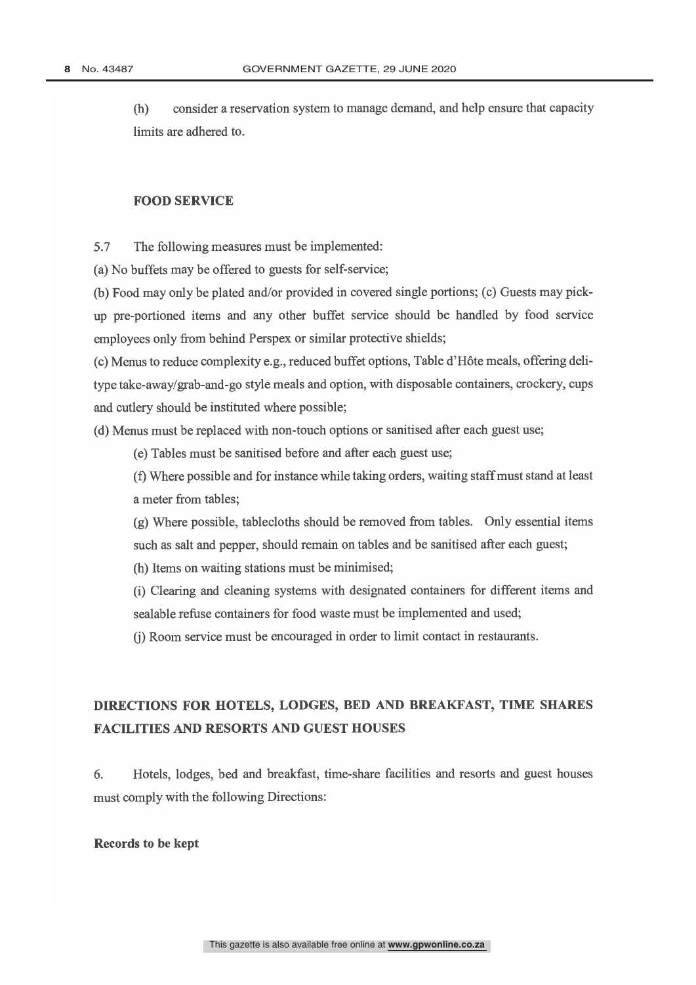(h) consider a reservation system to manage demand, and help ensure that capacity limits are adhered to.

#### FOOD SERVICE

5.7 The following measures must be implemented:

(a) No buffets may be offered to guests for self-service;

(b) Food may only be plated and/or provided in covered single portions; (c) Guests may pickup pre -portioned items and any other buffet service should be handled by food service employees only from behind Perspex or similar protective shields;

(c) Menus to reduce complexity e.g., reduced buffet options, Table d'Hôte meals, offering deli type take - away /grab -and -go style meals and option, with disposable containers, crockery, cups and cutlery should be instituted where possible;

(d) Menus must be replaced with non -touch options or sanitised after each guest use;

(e) Tables must be sanitised before and after each guest use;

(f) Where possible and for instance while taking orders, waiting staff must stand at least a meter from tables;

(g) Where possible, tablecloths should be removed from tables. Only essential items such as salt and pepper, should remain on tables and be sanitised after each guest;

(h) Items on waiting stations must be minimised;

(i) Clearing and cleaning systems with designated containers for different items and sealable refuse containers for food waste must be implemented and used;

(j) Room service must be encouraged in order to limit contact in restaurants.

# DIRECTIONS FOR HOTELS, LODGES, BED AND BREAKFAST, TIME SHARES FACILITIES AND RESORTS AND GUEST HOUSES

6. Hotels, lodges, bed and breakfast, time -share facilities and resorts and guest houses must comply with the following Directions:

#### Records to be kept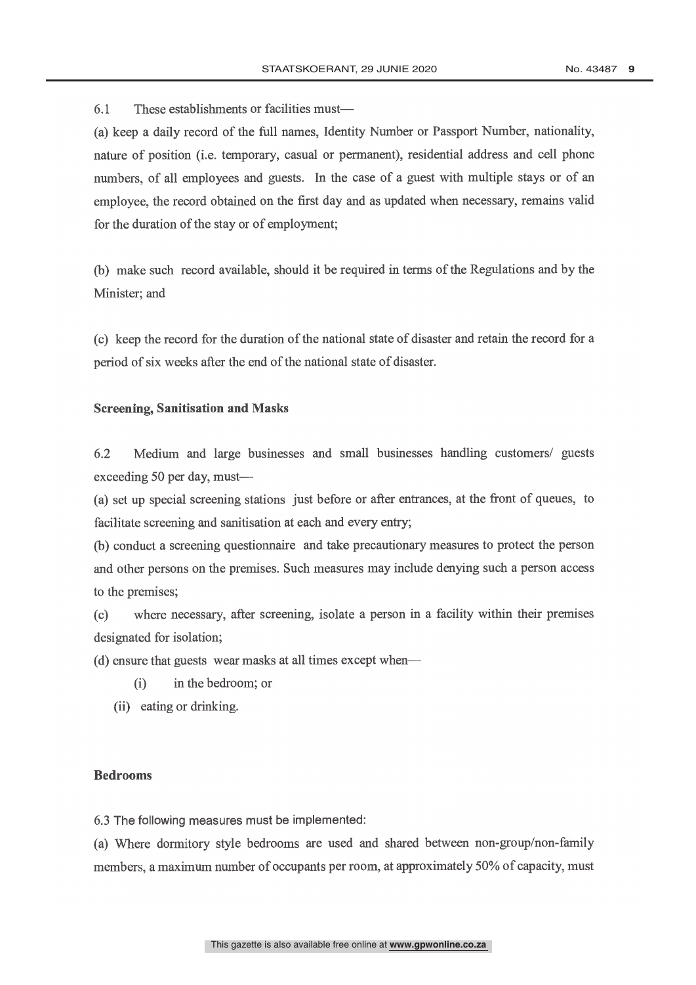6.1 These establishments or facilities must-

(a) keep a daily record of the full names, Identity Number or Passport Number, nationality, nature of position (i.e. temporary, casual or permanent), residential address and cell phone numbers, of all employees and guests. In the case of a guest with multiple stays or of an employee, the record obtained on the first day and as updated when necessary, remains valid for the duration of the stay or of employment;

(b) make such record available, should it be required in terms of the Regulations and by the Minister; and

(c) keep the record for the duration of the national state of disaster and retain the record for a period of six weeks after the end of the national state of disaster.

# Screening, Sanitisation and Masks

6.2 Medium and large businesses and small businesses handling customers/ guests exceeding 50 per day, must—

(a) set up special screening stations just before or after entrances, at the front of queues, to facilitate screening and sanitisation at each and every entry;

(b) conduct a screening questionnaire and take precautionary measures to protect the person and other persons on the premises. Such measures may include denying such a person access to the premises;

(c) where necessary, after screening, isolate a person in a facility within their premises designated for isolation;

(d) ensure that guests wear masks at all times except when --

- (i) in the bedroom; or
- (ii) eating or drinking.

# **Bedrooms**

6.3 The following measures must be implemented:

(a) Where dormitory style bedrooms are used and shared between non-group/non-family members, a maximum number of occupants per room, at approximately 50% of capacity, must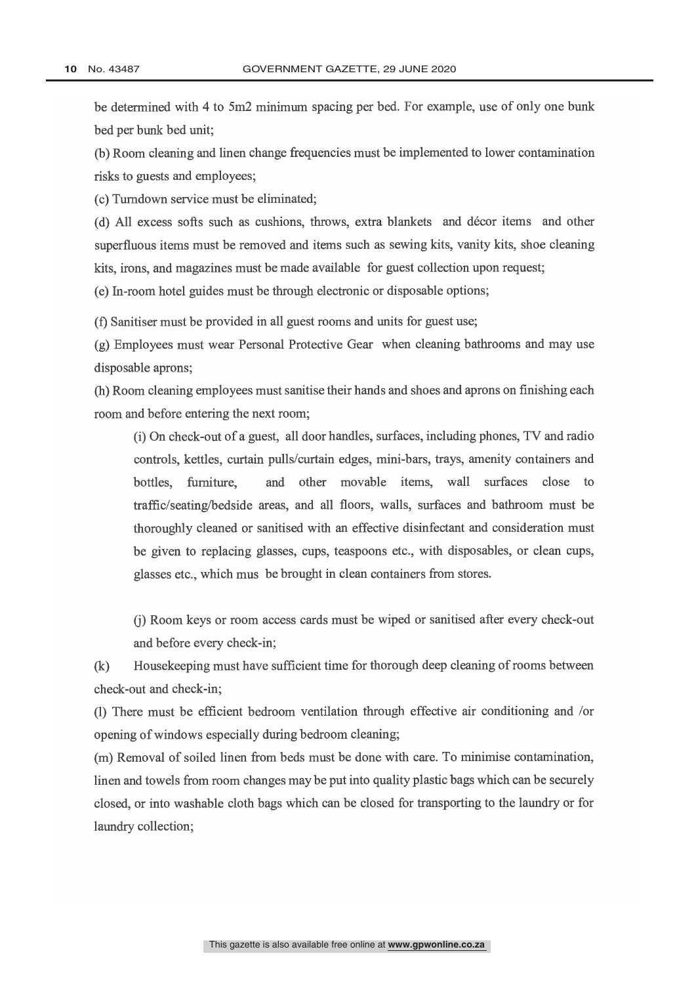be determined with 4 to 5m2 minimum spacing per bed. For example, use of only one bunk bed per bunk bed unit;

(b) Room cleaning and linen change frequencies must be implemented to lower contamination risks to guests and employees;

(c) Turndown service must be eliminated;

(d) All excess softs such as cushions, throws, extra blankets and décor items and other superfluous items must be removed and items such as sewing kits, vanity kits, shoe cleaning kits, irons, and magazines must be made available for guest collection upon request;

(e) In -room hotel guides must be through electronic or disposable options;

(f) Sanitiser must be provided in all guest rooms and units for guest use;

(g) Employees must wear Personal Protective Gear when cleaning bathrooms and may use disposable aprons;

(h) Room cleaning employees must sanitise their hands and shoes and aprons on finishing each room and before entering the next room;

(i) On check -out of a guest, all door handles, surfaces, including phones, TV and radio controls, kettles, curtain pulls/curtain edges, mini-bars, trays, amenity containers and bottles, furniture, and other movable items, wall surfaces close to traffic /seating/bedside areas, and all floors, walls, surfaces and bathroom must be thoroughly cleaned or sanitised with an effective disinfectant and consideration must be given to replacing glasses, cups, teaspoons etc., with disposables, or clean cups, glasses etc., which mus be brought in clean containers from stores.

(j) Room keys or room access cards must be wiped or sanitised after every check -out and before every check-in;

(k) Housekeeping must have sufficient time for thorough deep cleaning of rooms between check -out and check -in;

(1) There must be efficient bedroom ventilation through effective air conditioning and /or opening of windows especially during bedroom cleaning;

(m) Removal of soiled linen from beds must be done with care. To minimise contamination, linen and towels from room changes may be put into quality plastic bags which can be securely closed, or into washable cloth bags which can be closed for transporting to the laundry or for laundry collection;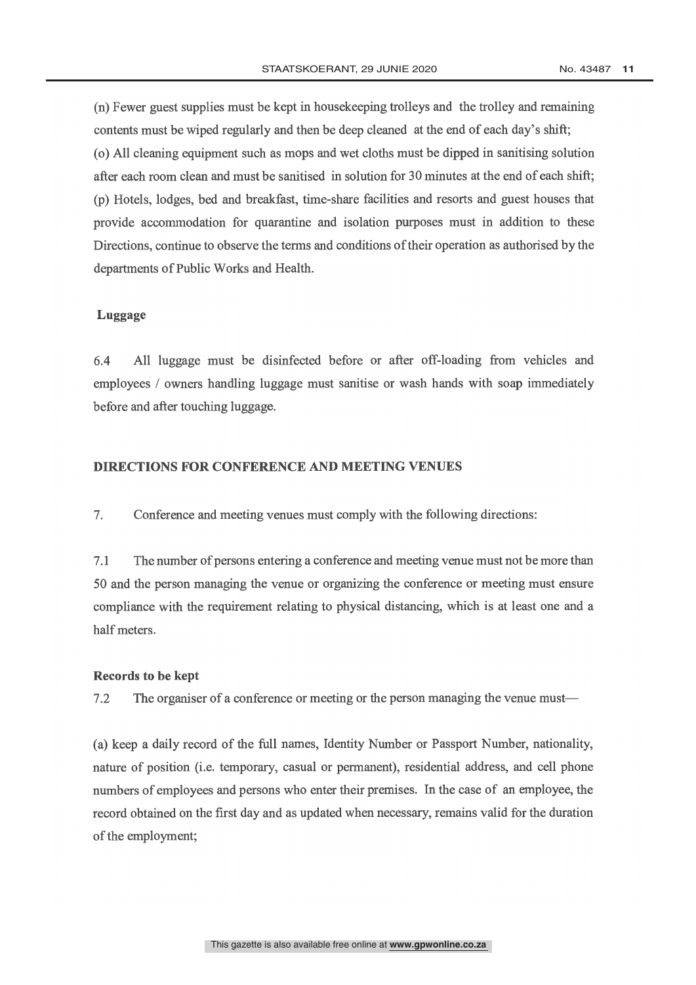(n) Fewer guest supplies must be kept in housekeeping trolleys and the trolley and remaining contents must be wiped regularly and then be deep cleaned at the end of each day's shift; (o) All cleaning equipment such as mops and wet cloths must be dipped in sanitising solution after each room clean and must be sanitised in solution for 30 minutes at the end of each shift; (p) Hotels, lodges, bed and breakfast, time -share facilities and resorts and guest houses that provide accommodation for quarantine and isolation purposes must in addition to these Directions, continue to observe the terms and conditions of their operation as authorised by the departments of Public Works and Health.

# Luggage

6.4 All luggage must be disinfected before or after off -loading from vehicles and employees / owners handling luggage must sanitise or wash hands with soap immediately before and after touching luggage.

#### DIRECTIONS FOR CONFERENCE AND MEETING VENUES

7 Conference and meeting venues must comply with the following directions:

7.1 The number of persons entering a conference and meeting venue must not be more than 50 and the person managing the venue or organizing the conference or meeting must ensure compliance with the requirement relating to physical distancing, which is at least one and a half meters.

#### Records to be kept

7.2 The organiser of a conference or meeting or the person managing the venue must-

(a) keep a daily record of the full names, Identity Number or Passport Number, nationality, nature of position (i.e. temporary, casual or permanent), residential address, and cell phone numbers of employees and persons who enter their premises. In the case of an employee, the record obtained on the first day and as updated when necessary, remains valid for the duration of the employment;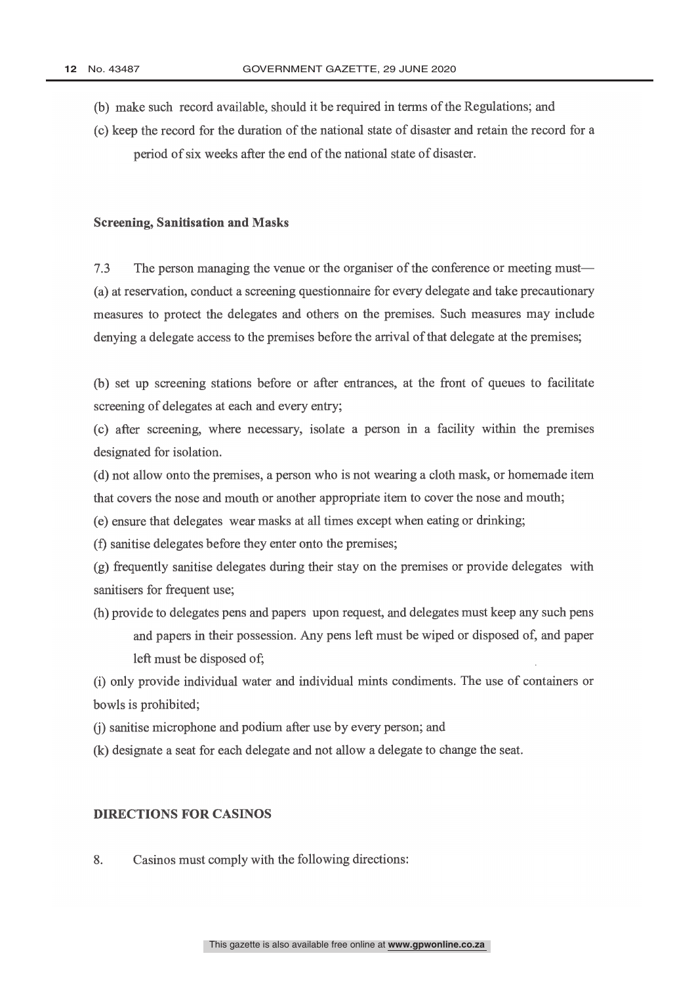- (b) make such record available, should it be required in terms of the Regulations; and
- (c) keep the record for the duration of the national state of disaster and retain the record for a period of six weeks after the end of the national state of disaster.

#### Screening, Sanitisation and Masks

7.3 The person managing the venue or the organiser of the conference or meeting must-(a) at reservation, conduct a screening questionnaire for every delegate and take precautionary measures to protect the delegates and others on the premises. Such measures may include denying a delegate access to the premises before the arrival of that delegate at the premises;

(b) set up screening stations before or after entrances, at the front of queues to facilitate screening of delegates at each and every entry;

(c) after screening, where necessary, isolate a person in a facility within the premises designated for isolation.

(d) not allow onto the premises, a person who is not wearing a cloth mask, or homemade item that covers the nose and mouth or another appropriate item to cover the nose and mouth;

(e) ensure that delegates wear masks at all times except when eating or drinking;

(f) sanitise delegates before they enter onto the premises;

(g) frequently sanitise delegates during their stay on the premises or provide delegates with sanitisers for frequent use;

(h) provide to delegates pens and papers upon request, and delegates must keep any such pens and papers in their possession. Any pens left must be wiped or disposed of, and paper left must be disposed of;

(i) only provide individual water and individual mints condiments. The use of containers or bowls is prohibited;

(j) sanitise microphone and podium after use by every person; and

(k) designate a seat for each delegate and not allow a delegate to change the seat.

# DIRECTIONS FOR CASINOS

8. Casinos must comply with the following directions: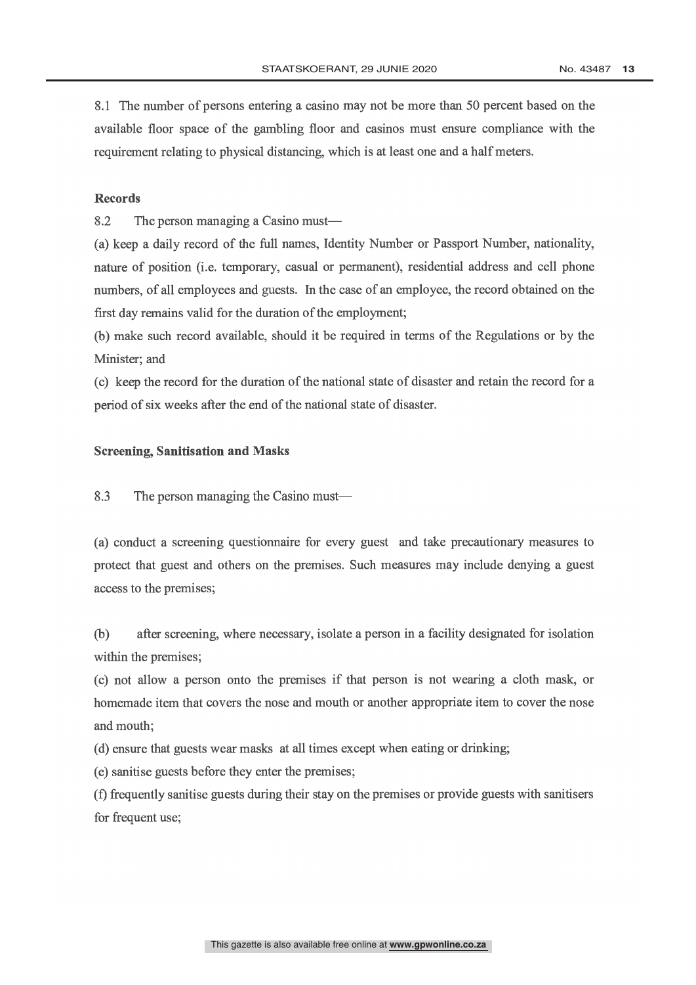8.1 The number of persons entering a casino may not be more than 50 percent based on the available floor space of the gambling floor and casinos must ensure compliance with the requirement relating to physical distancing, which is at least one and a half meters.

# Records

8.2 The person managing a Casino must—

(a) keep a daily record of the full names, Identity Number or Passport Number, nationality, nature of position (i.e. temporary, casual or permanent), residential address and cell phone numbers, of all employees and guests. In the case of an employee, the record obtained on the first day remains valid for the duration of the employment;

(b) make such record available, should it be required in terms of the Regulations or by the Minister; and

(c) keep the record for the duration of the national state of disaster and retain the record for a period of six weeks after the end of the national state of disaster.

#### Screening, Sanitisation and Masks

8.3 The person managing the Casino must—

(a) conduct a screening questionnaire for every guest and take precautionary measures to protect that guest and others on the premises. Such measures may include denying a guest access to the premises;

(b) after screening, where necessary, isolate a person in a facility designated for isolation within the premises;

(c) not allow a person onto the premises if that person is not wearing a cloth mask, or homemade item that covers the nose and mouth or another appropriate item to cover the nose and mouth;

(d) ensure that guests wear masks at all times except when eating or drinking;

(e) sanitise guests before they enter the premises;

(f) frequently sanitise guests during their stay on the premises or provide guests with sanitisers for frequent use;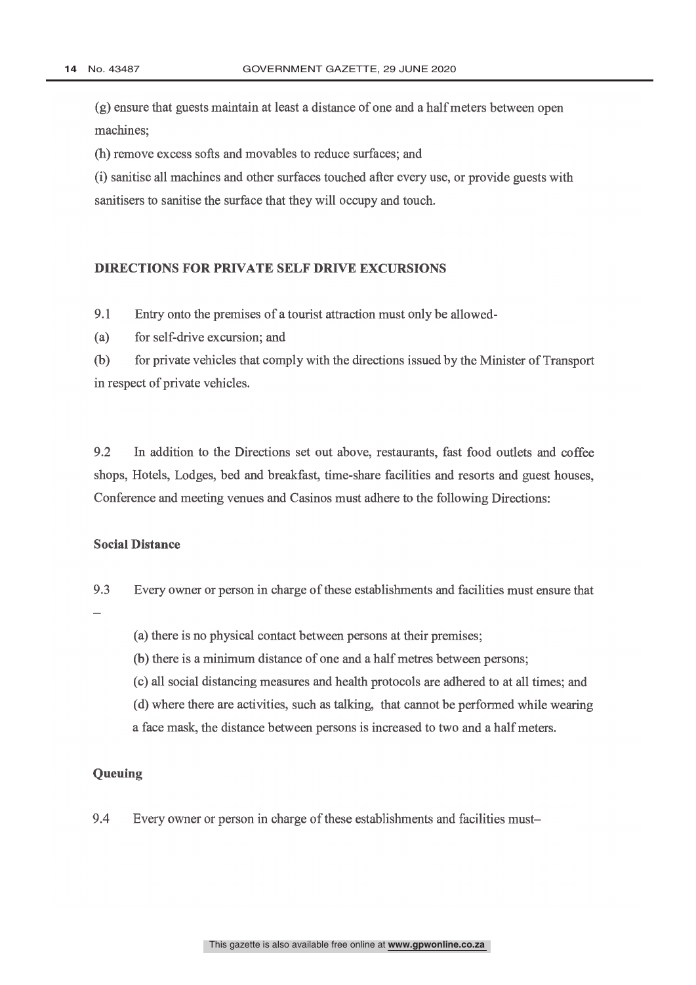(g) ensure that guests maintain at least a distance of one and a half meters between open machines;

(h) remove excess softs and movables to reduce surfaces; and

(i) sanitise all machines and other surfaces touched after every use, or provide guests with sanitisers to sanitise the surface that they will occupy and touch.

# DIRECTIONS FOR PRIVATE SELF DRIVE EXCURSIONS

9.1 Entry onto the premises of a tourist attraction must only be allowed -

(a) for self-drive excursion; and

(b) for private vehicles that comply with the directions issued by the Minister of Transport in respect of private vehicles.

9.2 In addition to the Directions set out above, restaurants, fast food outlets and coffee shops, Hotels, Lodges, bed and breakfast, time -share facilities and resorts and guest houses, Conference and meeting venues and Casinos must adhere to the following Directions:

# Social Distance

- 9.3 Every owner or person in charge of these establishments and facilities must ensure that
	- (a) there is no physical contact between persons at their premises;
	- (b) there is a minimum distance of one and a half metres between persons;
	- (c) all social distancing measures and health protocols are adhered to at all times; and
	- (d) where there are activities, such as talking, that cannot be performed while wearing
	- a face mask, the distance between persons is increased to two and a half meters.

## **Queuing**

 $9.4$ Every owner or person in charge of these establishments and facilities must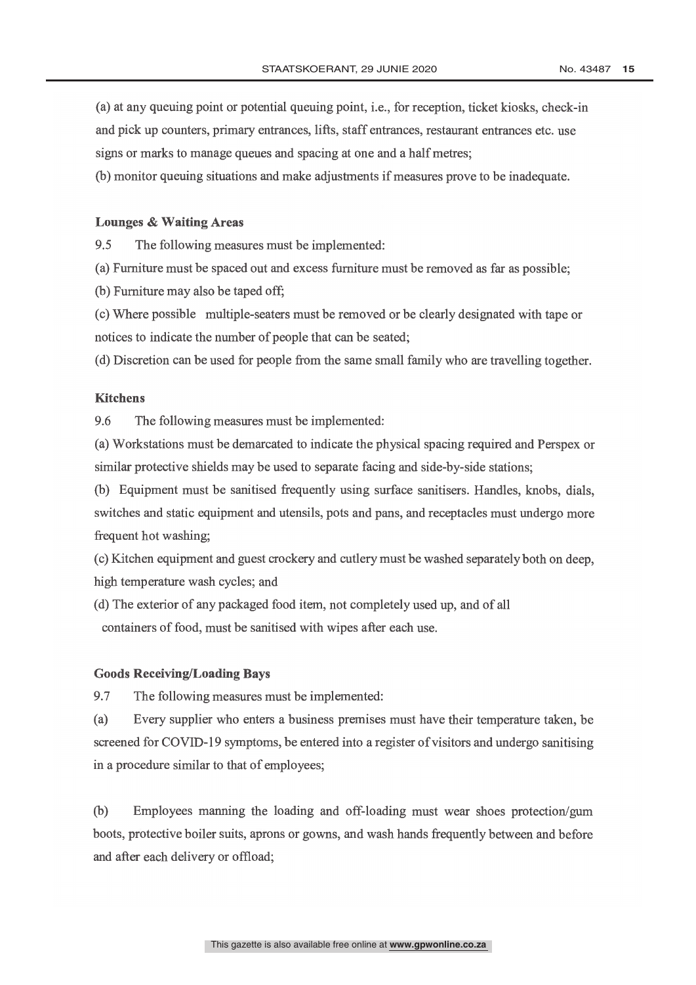(a) at any queuing point or potential queuing point, i.e., for reception, ticket kiosks, check -in and pick up counters, primary entrances, lifts, staff entrances, restaurant entrances etc. use signs or marks to manage queues and spacing at one and a half metres;

(b) monitor queuing situations and make adjustments if measures prove to be inadequate.

#### Lounges & Waiting Areas

9.5 The following measures must be implemented:

(a) Furniture must be spaced out and excess furniture must be removed as far as possible;

(b) Furniture may also be taped off;

(c) Where possible multiple- seaters must be removed or be clearly designated with tape or notices to indicate the number of people that can be seated;

(d) Discretion can be used for people from the same small family who are travelling together.

## Kitchens

9.6 The following measures must be implemented:

(a) Workstations must be demarcated to indicate the physical spacing required and Perspex or similar protective shields may be used to separate facing and side -by -side stations;

(b) Equipment must be sanitised frequently using surface sanitisers. Handles, knobs, dials, switches and static equipment and utensils, pots and pans, and receptacles must undergo more frequent hot washing;

(c) Kitchen equipment and guest crockery and cutlery must be washed separately both on deep, high temperature wash cycles; and

(d) The exterior of any packaged food item, not completely used up, and of all containers of food, must be sanitised with wipes after each use.

### Goods Receiving/Loading Bays

9.7 The following measures must be implemented:

(a) Every supplier who enters a business premises must have their temperature taken, be screened for COVID-19 symptoms, be entered into a register of visitors and undergo sanitising in a procedure similar to that of employees;

(b) Employees manning the loading and off -loading must wear shoes protection/gum boots, protective boiler suits, aprons or gowns, and wash hands frequently between and before and after each delivery or offload;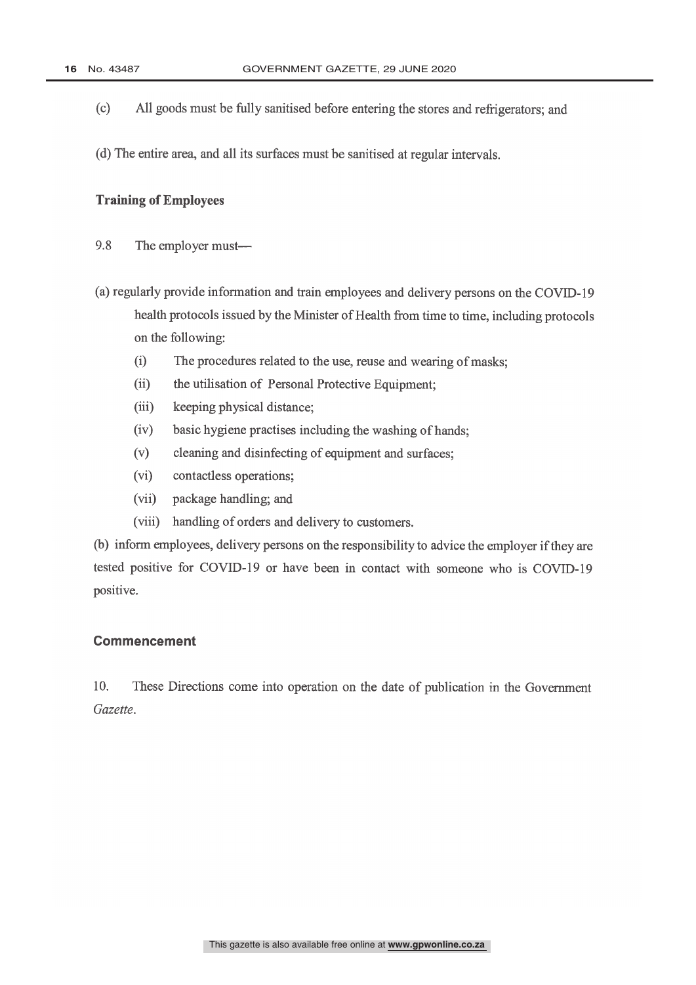- $(c)$ All goods must be fully sanitised before entering the stores and refrigerators; and
- (d) The entire area, and all its surfaces must be sanitised at regular intervals.

# **Training of Employees**

- 9.8 The employer must—
- (a) regularly provide information and train employees and delivery persons on the COVID-19 health protocols issued by the Minister of Health from time to time, including protocols on the following:
	- (i) The procedures related to the use, reuse and wearing of masks;
	- (ii) the utilisation of Personal Protective Equipment;
	- (iii) keeping physical distance;
	- (iv) basic hygiene practises including the washing of hands;
	- (v) cleaning and disinfecting of equipment and surfaces;
	- (vi) contactless operations;
	- (vii) package handling; and
	- (viii) handling of orders and delivery to customers.

(b) inform employees, delivery persons on the responsibility to advice the employer if they are tested positive for COVID -19 or have been in contact with someone who is COVID-19 positive.

#### Commencement

 $10.$ These Directions come into operation on the date of publication in the Government Gazette.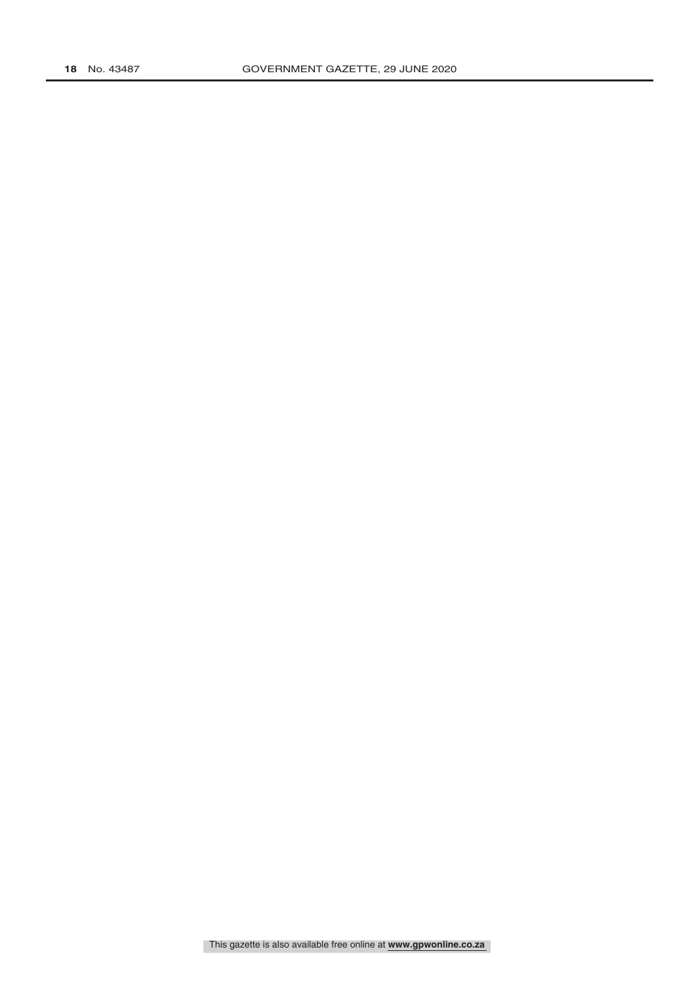This gazette is also available free online at **www.gpwonline.co.za**